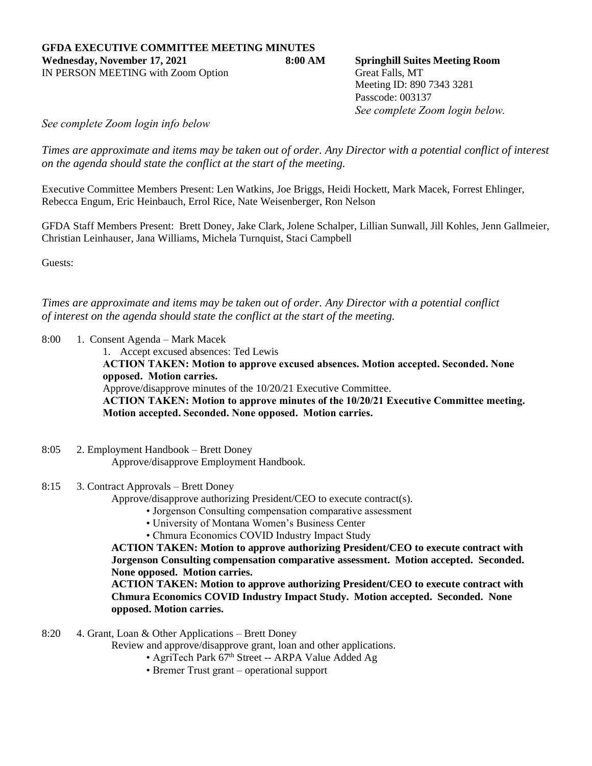Meeting ID: 890 7343 3281 Passcode: 003137 *See complete Zoom login below.*

*See complete Zoom login info below*

*Times are approximate and items may be taken out of order. Any Director with a potential conflict of interest on the agenda should state the conflict at the start of the meeting.*

Executive Committee Members Present: Len Watkins, Joe Briggs, Heidi Hockett, Mark Macek, Forrest Ehlinger, Rebecca Engum, Eric Heinbauch, Errol Rice, Nate Weisenberger, Ron Nelson

GFDA Staff Members Present: Brett Doney, Jake Clark, Jolene Schalper, Lillian Sunwall, Jill Kohles, Jenn Gallmeier, Christian Leinhauser, Jana Williams, Michela Turnquist, Staci Campbell

Guests:

*Times are approximate and items may be taken out of order. Any Director with a potential conflict of interest on the agenda should state the conflict at the start of the meeting.*

8:00 1. Consent Agenda – Mark Macek

1. Accept excused absences: Ted Lewis

**ACTION TAKEN: Motion to approve excused absences. Motion accepted. Seconded. None opposed. Motion carries.**

Approve/disapprove minutes of the 10/20/21 Executive Committee.

**ACTION TAKEN: Motion to approve minutes of the 10/20/21 Executive Committee meeting. Motion accepted. Seconded. None opposed. Motion carries.**

8:05 2. Employment Handbook – Brett Doney Approve/disapprove Employment Handbook.

## 8:15 3. Contract Approvals – Brett Doney

Approve/disapprove authorizing President/CEO to execute contract(s).

- Jorgenson Consulting compensation comparative assessment
- University of Montana Women's Business Center

• Chmura Economics COVID Industry Impact Study

**ACTION TAKEN: Motion to approve authorizing President/CEO to execute contract with Jorgenson Consulting compensation comparative assessment. Motion accepted. Seconded. None opposed. Motion carries.**

**ACTION TAKEN: Motion to approve authorizing President/CEO to execute contract with Chmura Economics COVID Industry Impact Study. Motion accepted. Seconded. None opposed. Motion carries.**

8:20 4. Grant, Loan & Other Applications – Brett Doney

Review and approve/disapprove grant, loan and other applications.

- AgriTech Park 67<sup>th</sup> Street -- ARPA Value Added Ag
- Bremer Trust grant operational support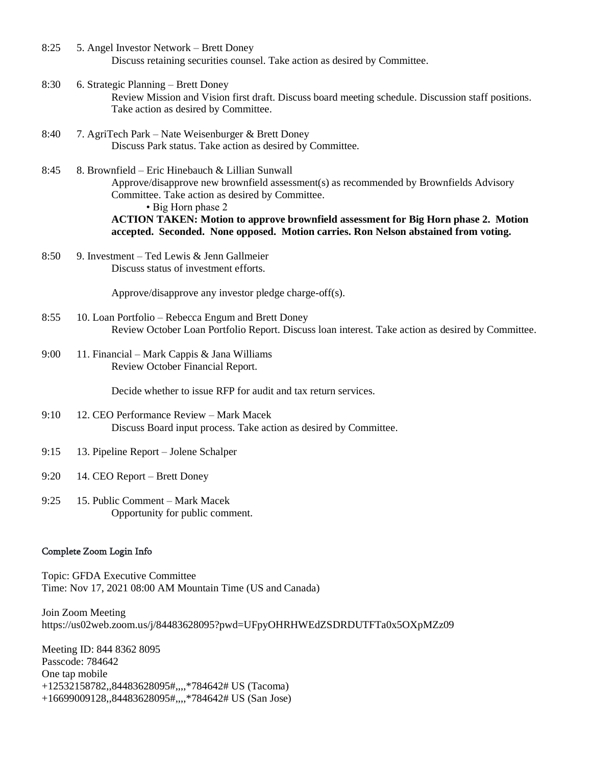- 8:25 5. Angel Investor Network Brett Doney Discuss retaining securities counsel. Take action as desired by Committee.
- 8:30 6. Strategic Planning Brett Doney Review Mission and Vision first draft. Discuss board meeting schedule. Discussion staff positions. Take action as desired by Committee.
- 8:40 7. AgriTech Park Nate Weisenburger & Brett Doney Discuss Park status. Take action as desired by Committee.
- 8:45 8. Brownfield Eric Hinebauch & Lillian Sunwall Approve/disapprove new brownfield assessment(s) as recommended by Brownfields Advisory Committee. Take action as desired by Committee. • Big Horn phase 2 **ACTION TAKEN: Motion to approve brownfield assessment for Big Horn phase 2. Motion accepted. Seconded. None opposed. Motion carries. Ron Nelson abstained from voting.**
- 8:50 9. Investment Ted Lewis & Jenn Gallmeier Discuss status of investment efforts.

Approve/disapprove any investor pledge charge-off(s).

- 8:55 10. Loan Portfolio Rebecca Engum and Brett Doney Review October Loan Portfolio Report. Discuss loan interest. Take action as desired by Committee.
- 9:00 11. Financial Mark Cappis & Jana Williams Review October Financial Report.

Decide whether to issue RFP for audit and tax return services.

- 9:10 12. CEO Performance Review Mark Macek Discuss Board input process. Take action as desired by Committee.
- 9:15 13. Pipeline Report Jolene Schalper
- 9:20 14. CEO Report Brett Doney
- 9:25 15. Public Comment Mark Macek Opportunity for public comment.

## Complete Zoom Login Info

Topic: GFDA Executive Committee Time: Nov 17, 2021 08:00 AM Mountain Time (US and Canada)

Join Zoom Meeting https://us02web.zoom.us/j/84483628095?pwd=UFpyOHRHWEdZSDRDUTFTa0x5OXpMZz09

Meeting ID: 844 8362 8095 Passcode: 784642 One tap mobile +12532158782,,84483628095#,,,,\*784642# US (Tacoma) +16699009128,,84483628095#,,,,\*784642# US (San Jose)